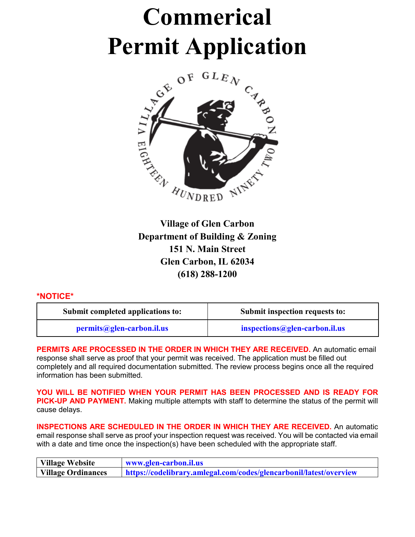# **Commerical Permit Application**



**Village of Glen Carbon Department of Building & Zoning 151 N. Main Street Glen Carbon, IL 62034 (618) 288-1200**

#### **\*NOTICE\***

| Submit completed applications to: | Submit inspection requests to: |
|-----------------------------------|--------------------------------|
| permits@glen-carbon.il.us         | inspections@glen-carbon.il.us  |

**PERMITS ARE PROCESSED IN THE ORDER IN WHICH THEY ARE RECEIVED.** An automatic email response shall serve as proof that your permit was received. The application must be filled out completely and all required documentation submitted. The review process begins once all the required information has been submitted.

**YOU WILL BE NOTIFIED WHEN YOUR PERMIT HAS BEEN PROCESSED AND IS READY FOR PICK-UP AND PAYMENT.** Making multiple attempts with staff to determine the status of the permit will cause delays.

**INSPECTIONS ARE SCHEDULED IN THE ORDER IN WHICH THEY ARE RECEIVED.** An automatic email response shall serve as proof your inspection request was received. You will be contacted via email with a date and time once the inspection(s) have been scheduled with the appropriate staff.

| Village Website    | www.glen-carbon.il.us                                              |
|--------------------|--------------------------------------------------------------------|
| Village Ordinances | https://codelibrary.amlegal.com/codes/glencarbonil/latest/overview |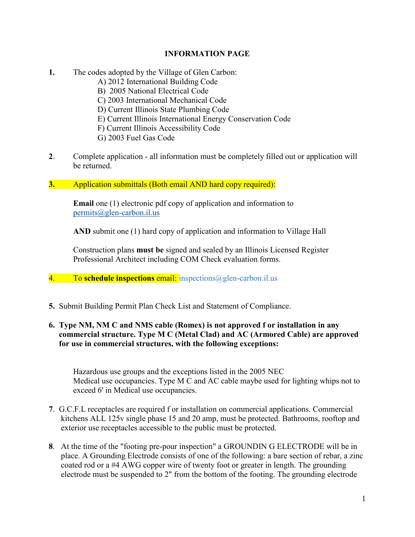#### **INFORMATION PAGE**

- **1.** The codes adopted by the Village of Glen Carbon:
	- A) 2012 International Building Code
	- B) 2005 National Electrical Code
	- C) 2003 International Mechanical Code
	- D) Current Illinois State Plumbing Code
	- E) Current Illinois International Energy Conservation Code
	- F) Current Illinois Accessibility Code
	- G) 2003 Fuel Gas Code
- **2**. Complete application all information must be completely filled out or application will be returned.
- **3.** Application submittals (Both email AND hard copy required):

**Email** one (1) electronic pdf copy of application and information to permits@glen-carbon.il.us

**AND** submit one (1) hard copy of application and information to Village Hall

Construction plans **must be** signed and sealed by an Illinois Licensed Register Professional Architect including COM Check evaluation forms.

- 4. To **schedule inspections** email: inspections@glen-carbon.il.us
- **5.** Submit Building Permit Plan Check List and Statement of Compliance.

#### **6. Type NM, NM C and NMS cable (Romex) is not approved f or installation in any commercial structure. Type M C (Metal Clad) and AC (Armored Cable) are approved for use in commercial structures, with the following exceptions:**

Hazardous use groups and the exceptions listed in the 2005 NEC Medical use occupancies. Type M C and AC cable maybe used for lighting whips not to exceed 6' in Medical use occupancies.

- **7**. G.C.F.L receptacles are required f or installation on commercial applications. Commercial kitchens ALL 125v single phase 15 and 20 amp, must be protected. Bathrooms, rooftop and exterior use receptacles accessible to the public must be protected.
- **8**. At the time of the "footing pre-pour inspection" a GROUNDIN G ELECTRODE will be in place. A Grounding Electrode consists of one of the following: a bare section of rebar, a zinc coated rod or a #4 AWG copper wire of twenty foot or greater in length. The grounding electrode must be suspended to 2" from the bottom of the footing. The grounding electrode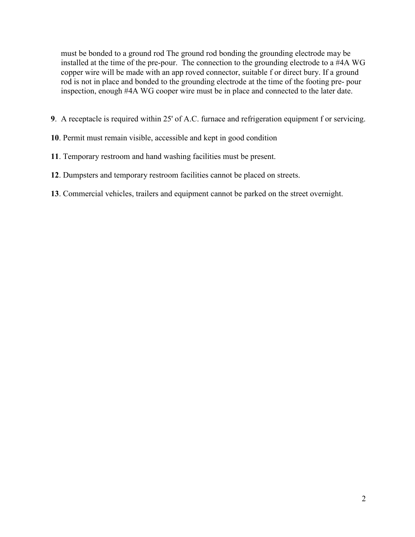must be bonded to a ground rod The ground rod bonding the grounding electrode may be installed at the time of the pre-pour. The connection to the grounding electrode to a #4A WG copper wire will be made with an app roved connector, suitable f or direct bury. If a ground rod is not in place and bonded to the grounding electrode at the time of the footing pre- pour inspection, enough #4A WG cooper wire must be in place and connected to the later date.

- **9**. A receptacle is required within 25' of A.C. furnace and refrigeration equipment f or servicing.
- **10**. Permit must remain visible, accessible and kept in good condition
- **11**. Temporary restroom and hand washing facilities must be present.
- **12**. Dumpsters and temporary restroom facilities cannot be placed on streets.
- **13**. Commercial vehicles, trailers and equipment cannot be parked on the street overnight.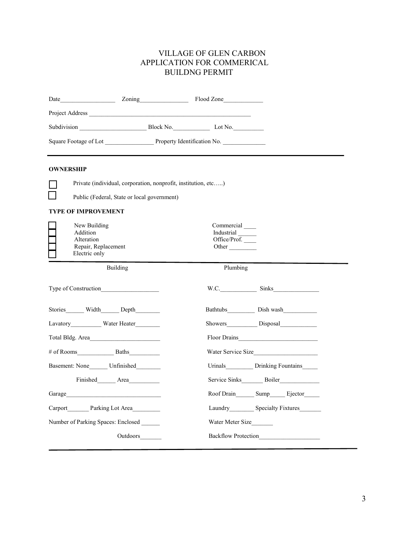#### VILLAGE OF GLEN CARBON APPLICATION FOR COMMERICAL BUILDNG PERMIT

| Date <b>Example 2018</b> 2011 2011 2012 2014 2016 2016                         |                                                   |                                              |
|--------------------------------------------------------------------------------|---------------------------------------------------|----------------------------------------------|
|                                                                                |                                                   |                                              |
| Subdivision Block No. Lot No.                                                  |                                                   |                                              |
| Square Footage of Lot Property Identification No.                              |                                                   |                                              |
|                                                                                |                                                   |                                              |
| <b>OWNERSHIP</b>                                                               |                                                   |                                              |
| Private (individual, corporation, nonprofit, institution, etc)                 |                                                   |                                              |
| Public (Federal, State or local government)                                    |                                                   |                                              |
| <b>TYPE OF IMPROVEMENT</b>                                                     |                                                   |                                              |
| New Building<br>Addition<br>Alteration<br>Repair, Replacement<br>Electric only | Commercial<br>Industrial<br>Office/Prof.<br>Other |                                              |
| Building                                                                       | Plumbing                                          |                                              |
| Type of Construction                                                           |                                                   | $W.C.$ Sinks                                 |
| Stories Width Depth                                                            |                                                   |                                              |
| Lavatory_____________ Water Heater_________                                    |                                                   | Showers Disposal                             |
| Total Bldg. Area                                                               |                                                   | Floor Drains                                 |
|                                                                                |                                                   | Water Service Size                           |
| Basement: None________ Unfinished_________                                     |                                                   | Urinals Drinking Fountains                   |
| Finished Area                                                                  |                                                   | Service Sinks Boiler                         |
| Garage                                                                         |                                                   | Roof Drain________ Sump_______ Ejector______ |
| Carport Parking Lot Area                                                       |                                                   | Laundry Specialty Fixtures                   |
| Number of Parking Spaces: Enclosed                                             | Water Meter Size                                  |                                              |
| Outdoors________                                                               |                                                   | Backflow Protection                          |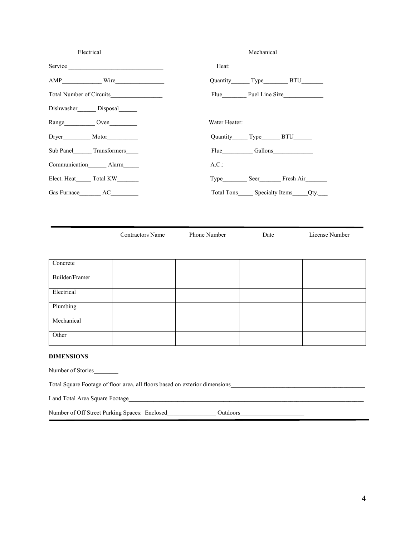| Electrical<br>Mechanical             |                                                                                                                      |                                                   |                |
|--------------------------------------|----------------------------------------------------------------------------------------------------------------------|---------------------------------------------------|----------------|
| Service                              | Heat:                                                                                                                |                                                   |                |
|                                      |                                                                                                                      | Quantity Type BTU                                 |                |
|                                      |                                                                                                                      | Flue Fuel Line Size                               |                |
| Dishwasher_______ Disposal_______    |                                                                                                                      |                                                   |                |
| Range Oven                           | Water Heater:                                                                                                        |                                                   |                |
|                                      |                                                                                                                      | Quantity Type BTU                                 |                |
| Sub Panel________ Transformers______ |                                                                                                                      | Flue Gallons                                      |                |
| Communication Alarm                  | A.C.:                                                                                                                |                                                   |                |
| Elect. Heat Total KW                 |                                                                                                                      | Type _________ Seer___________ Fresh Air_________ |                |
|                                      |                                                                                                                      | Total Tons ______ Specialty Items _____ Qty.      |                |
|                                      |                                                                                                                      |                                                   |                |
| <b>Contractors Name</b><br>Concrete  | Phone Number                                                                                                         | Date                                              | License Number |
| Builder/Framer                       |                                                                                                                      |                                                   |                |
| Electrical                           |                                                                                                                      |                                                   |                |
| Plumbing                             |                                                                                                                      |                                                   |                |
| Mechanical                           |                                                                                                                      |                                                   |                |
| Other                                |                                                                                                                      |                                                   |                |
| <b>DIMENSIONS</b>                    |                                                                                                                      |                                                   |                |
| Number of Stories                    |                                                                                                                      |                                                   |                |
|                                      |                                                                                                                      |                                                   |                |
| Land Total Area Square Footage       | <u> 2000 - 2000 - 2000 - 2000 - 2000 - 2000 - 2000 - 2000 - 2000 - 2000 - 2000 - 2000 - 2000 - 2000 - 2000 - 200</u> |                                                   |                |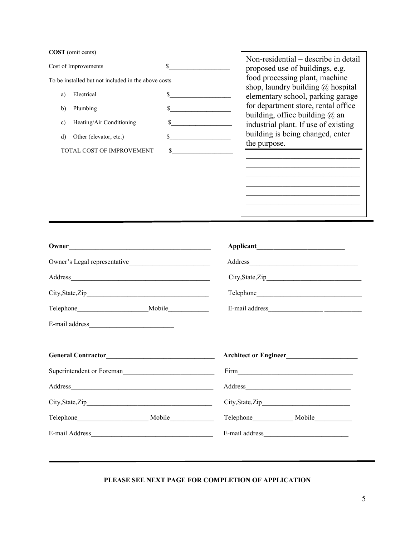**COST** (omit cents)

| <b>COST</b> (omit cents)                            | Non-residential – describe in detail                                            |
|-----------------------------------------------------|---------------------------------------------------------------------------------|
| Cost of Improvements                                | proposed use of buildings, e.g.                                                 |
| To be installed but not included in the above costs | food processing plant, machine<br>shop, laundry building $\omega$ hospital      |
| Electrical<br>a)                                    | elementary school, parking garage                                               |
| Plumbing<br>b)                                      | \$<br>for department store, rental office<br>building, office building $(a)$ an |
| Heating/Air Conditioning<br>c)                      | industrial plant. If use of existing                                            |
| Other (elevator, etc.)<br>d)                        | building is being changed, enter<br>the purpose.                                |
| TOTAL COST OF IMPROVEMENT                           |                                                                                 |
|                                                     |                                                                                 |
|                                                     |                                                                                 |
|                                                     |                                                                                 |
|                                                     |                                                                                 |

| Owner |                  |
|-------|------------------|
|       | Address          |
|       |                  |
|       | Telephone        |
|       |                  |
|       |                  |
|       |                  |
|       |                  |
|       |                  |
|       |                  |
|       | City, State, Zip |
|       | Telephone Mobile |
|       | E-mail address   |
|       |                  |

#### **PLEASE SEE NEXT PAGE FOR COMPLETION OF APPLICATION**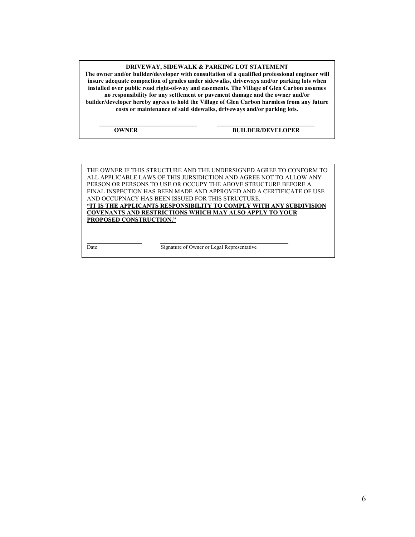**DRIVEWAY, SIDEWALK & PARKING LOT STATEMENT**

**The owner and/or builder/developer with consultation of a qualified professional engineer will insure adequate compaction of grades under sidewalks, driveways and/or parking lots when installed over public road right-of-way and easements. The Village of Glen Carbon assumes no responsibility for any settlement or pavement damage and the owner and/or builder/developer hereby agrees to hold the Village of Glen Carbon harmless from any future costs or maintenance of said sidewalks, driveways and/or parking lots.**

**\_\_\_\_\_\_\_\_\_\_\_\_\_\_\_\_\_\_\_\_\_\_\_\_\_\_\_\_\_\_\_\_ \_\_\_\_\_\_\_\_\_\_\_\_\_\_\_\_\_\_\_\_\_\_\_\_\_\_\_\_\_\_\_\_**

#### **OWNER BUILDER/DEVELOPER**

THE OWNER IF THIS STRUCTURE AND THE UNDERSIGNED AGREE TO CONFORM TO ALL APPLICABLE LAWS OF THIS JURSIDICTION AND AGREE NOT TO ALLOW ANY PERSON OR PERSONS TO USE OR OCCUPY THE ABOVE STRUCTURE BEFORE A FINAL INSPECTION HAS BEEN MADE AND APPROVED AND A CERTIFICATE OF USE AND OCCUPNACY HAS BEEN ISSUED FOR THIS STRUCTURE. **"IT IS THE APPLICANTS RESPONSIBILITY TO COMPLY WITH ANY SUBDIVISION COVENANTS AND RESTRICTIONS WHICH MAY ALSO APPLY TO YOUR PROPOSED CONSTRUCTION."**

Date Signature of Owner or Legal Representative

**\_\_\_\_\_\_\_\_\_\_\_\_\_\_\_\_\_\_ \_\_\_\_\_\_\_\_\_\_\_\_\_\_\_\_\_\_\_\_\_\_\_\_\_\_\_\_\_\_\_\_\_\_\_\_\_\_\_\_\_\_**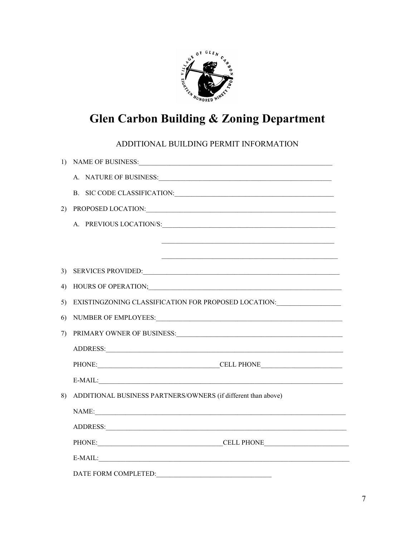

### **Glen Carbon Building & Zoning Department**

ADDITIONAL BUILDING PERMIT INFORMATION

|    | 1) NAME OF BUSINESS:                                                                                                                                                                                                           |
|----|--------------------------------------------------------------------------------------------------------------------------------------------------------------------------------------------------------------------------------|
|    | A. NATURE OF BUSINESS:                                                                                                                                                                                                         |
|    | B. SIC CODE CLASSIFICATION:                                                                                                                                                                                                    |
| 2) |                                                                                                                                                                                                                                |
|    | A. PREVIOUS LOCATION/S:                                                                                                                                                                                                        |
|    |                                                                                                                                                                                                                                |
|    |                                                                                                                                                                                                                                |
| 3) | SERVICES PROVIDED: NORTH SERVICES PROVIDED:                                                                                                                                                                                    |
| 4) |                                                                                                                                                                                                                                |
| 5) | EXISTINGZONING CLASSIFICATION FOR PROPOSED LOCATION:____________________________                                                                                                                                               |
| 6) | NUMBER OF EMPLOYEES: University of the Second Property of the Second Property of the Second Property of the Second Property of the Second Property of the Second Property of the Second Property of the Second Property of the |
| 7) |                                                                                                                                                                                                                                |
|    |                                                                                                                                                                                                                                |
|    |                                                                                                                                                                                                                                |
|    |                                                                                                                                                                                                                                |
| 8) | ADDITIONAL BUSINESS PARTNERS/OWNERS (if different than above)                                                                                                                                                                  |
|    | NAME:                                                                                                                                                                                                                          |
|    |                                                                                                                                                                                                                                |
|    |                                                                                                                                                                                                                                |
|    | E-MAIL:<br><u> 1989 - Johann Barn, mars ann an t-Amhain an t-Amhain an t-Amhain an t-Amhain an t-Amhain an t-Amhain an t-A</u>                                                                                                 |
|    | DATE FORM COMPLETED:                                                                                                                                                                                                           |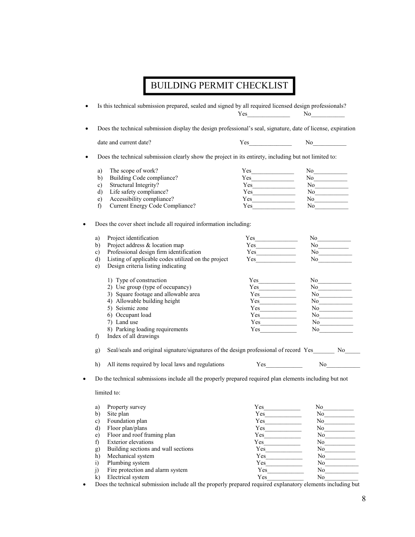## BUILDING PERMIT CHECKLIST

|               | Is this technical submission prepared, sealed and signed by all required licensed design professionals?                |          | $\mathrm{No}$                                                                                                                                                                                                                  |
|---------------|------------------------------------------------------------------------------------------------------------------------|----------|--------------------------------------------------------------------------------------------------------------------------------------------------------------------------------------------------------------------------------|
|               | Does the technical submission display the design professional's seal, signature, date of license, expiration           |          |                                                                                                                                                                                                                                |
|               | date and current date?                                                                                                 |          | $Yes$ No $No$                                                                                                                                                                                                                  |
|               | Does the technical submission clearly show the project in its entirety, including but not limited to:                  |          |                                                                                                                                                                                                                                |
| a)            | The scope of work?                                                                                                     |          |                                                                                                                                                                                                                                |
| b)            | Building Code compliance?                                                                                              | Yes      |                                                                                                                                                                                                                                |
| c)            | Structural Integrity?                                                                                                  |          | $\mathrm{No}$                                                                                                                                                                                                                  |
| d)            | Life safety compliance?                                                                                                |          | $\mathrm{No}$                                                                                                                                                                                                                  |
| e)            | Accessibility compliance?                                                                                              |          |                                                                                                                                                                                                                                |
| f)            | Current Energy Code Compliance?                                                                                        |          | $\,$ No $\,$<br>No $\qquad \qquad$                                                                                                                                                                                             |
|               | Does the cover sheet include all required information including:                                                       |          |                                                                                                                                                                                                                                |
| a)            | Project identification                                                                                                 | Yes      | No                                                                                                                                                                                                                             |
| b)            | Project address & location map                                                                                         |          | No                                                                                                                                                                                                                             |
| c)            | Professional design firm identification                                                                                |          | No $\qquad \qquad$                                                                                                                                                                                                             |
| d)            | Listing of applicable codes utilized on the project                                                                    | Yes      | No $\qquad$                                                                                                                                                                                                                    |
| e)            | Design criteria listing indicating                                                                                     |          |                                                                                                                                                                                                                                |
|               | 1) Type of construction                                                                                                |          | No                                                                                                                                                                                                                             |
|               | 2) Use group (type of occupancy)                                                                                       | Yes      | $\mathrm{No}$                                                                                                                                                                                                                  |
|               | 3) Square footage and allowable area                                                                                   |          | No                                                                                                                                                                                                                             |
|               | 4) Allowable building height                                                                                           | Yes      | $\mathrm{No}$                                                                                                                                                                                                                  |
|               | 5) Seismic zone                                                                                                        | Yes      | No                                                                                                                                                                                                                             |
|               | 6) Occupant load                                                                                                       |          |                                                                                                                                                                                                                                |
|               | 7) Land use                                                                                                            | Yes      | No                                                                                                                                                                                                                             |
|               | 8) Parking loading requirements                                                                                        | Yes      | No                                                                                                                                                                                                                             |
| f)            | Index of all drawings                                                                                                  |          |                                                                                                                                                                                                                                |
| g)            | Seal/seals and original signature/signatures of the design professional of record Yes_______ No____                    |          |                                                                                                                                                                                                                                |
| h)            | All items required by local laws and regulations Yes No No                                                             |          |                                                                                                                                                                                                                                |
|               | Do the technical submissions include all the properly prepared required plan elements including but not<br>limited to: |          |                                                                                                                                                                                                                                |
|               | Property survey                                                                                                        |          | No                                                                                                                                                                                                                             |
| a)            | Site plan                                                                                                              | Yes      |                                                                                                                                                                                                                                |
| b)            |                                                                                                                        |          | No                                                                                                                                                                                                                             |
| $\mathbf{c})$ | Foundation plan                                                                                                        | Yes      | No                                                                                                                                                                                                                             |
| $\mathbf{d}$  | Floor plan/plans                                                                                                       | Yes      | No                                                                                                                                                                                                                             |
| e)            | Floor and roof framing plan                                                                                            | $Yes \_$ | No                                                                                                                                                                                                                             |
| f)            | <b>Exterior</b> elevations                                                                                             |          |                                                                                                                                                                                                                                |
| g)            | Building sections and wall sections                                                                                    |          | $\mathrm{No}$                                                                                                                                                                                                                  |
| h)            | Mechanical system                                                                                                      |          | No $\qquad \qquad$                                                                                                                                                                                                             |
| i)            | Plumbing system                                                                                                        |          | No strategies and the strategies of the strategies of the strategies of the strategies of the strategies of the strategies of the strategies of the strategies of the strategies of the strategies of the strategies of the st |
| j)            | Fire protection and alarm system                                                                                       | Yes      | No                                                                                                                                                                                                                             |
| $\mathbf{k}$  | Electrical system                                                                                                      | Yes      | No.                                                                                                                                                                                                                            |

• Does the technical submission include all the properly prepared required explanatory elements including but